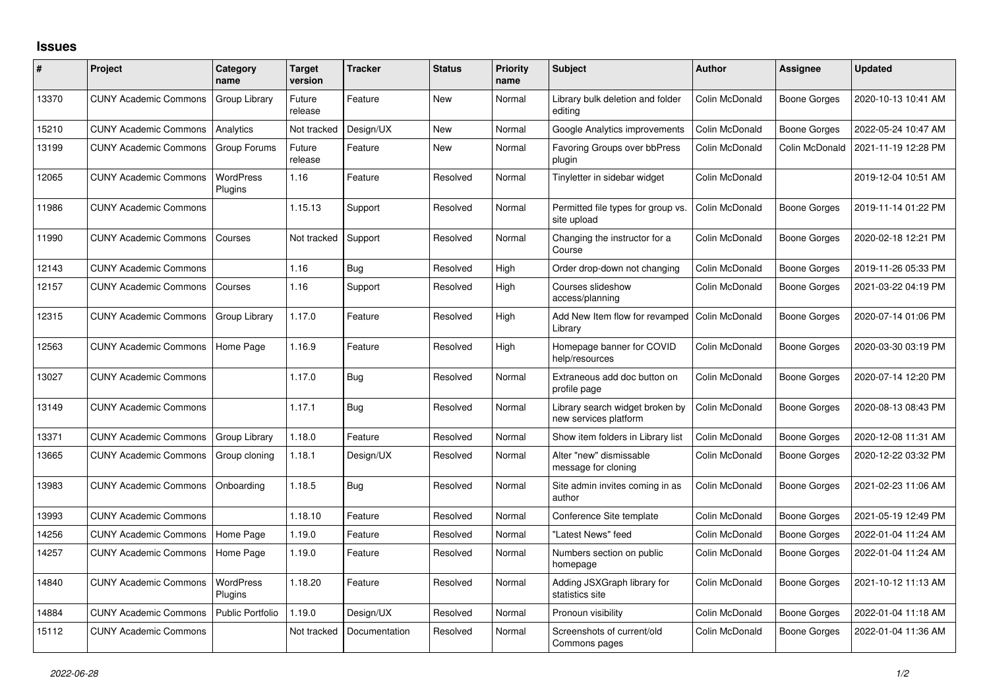## **Issues**

| #     | Project                      | Category<br>name            | <b>Target</b><br>version | <b>Tracker</b> | <b>Status</b> | <b>Priority</b><br>name | <b>Subject</b>                                           | <b>Author</b>  | Assignee            | <b>Updated</b>      |
|-------|------------------------------|-----------------------------|--------------------------|----------------|---------------|-------------------------|----------------------------------------------------------|----------------|---------------------|---------------------|
| 13370 | <b>CUNY Academic Commons</b> | Group Library               | Future<br>release        | Feature        | <b>New</b>    | Normal                  | Library bulk deletion and folder<br>editing              | Colin McDonald | Boone Gorges        | 2020-10-13 10:41 AM |
| 15210 | <b>CUNY Academic Commons</b> | Analytics                   | Not tracked              | Design/UX      | <b>New</b>    | Normal                  | Google Analytics improvements                            | Colin McDonald | <b>Boone Gorges</b> | 2022-05-24 10:47 AM |
| 13199 | <b>CUNY Academic Commons</b> | Group Forums                | Future<br>release        | Feature        | <b>New</b>    | Normal                  | <b>Favoring Groups over bbPress</b><br>plugin            | Colin McDonald | Colin McDonald      | 2021-11-19 12:28 PM |
| 12065 | <b>CUNY Academic Commons</b> | <b>WordPress</b><br>Plugins | 1.16                     | Feature        | Resolved      | Normal                  | Tinyletter in sidebar widget                             | Colin McDonald |                     | 2019-12-04 10:51 AM |
| 11986 | <b>CUNY Academic Commons</b> |                             | 1.15.13                  | Support        | Resolved      | Normal                  | Permitted file types for group vs.<br>site upload        | Colin McDonald | <b>Boone Gorges</b> | 2019-11-14 01:22 PM |
| 11990 | <b>CUNY Academic Commons</b> | Courses                     | Not tracked              | Support        | Resolved      | Normal                  | Changing the instructor for a<br>Course                  | Colin McDonald | <b>Boone Gorges</b> | 2020-02-18 12:21 PM |
| 12143 | <b>CUNY Academic Commons</b> |                             | 1.16                     | Bug            | Resolved      | High                    | Order drop-down not changing                             | Colin McDonald | <b>Boone Gorges</b> | 2019-11-26 05:33 PM |
| 12157 | <b>CUNY Academic Commons</b> | Courses                     | 1.16                     | Support        | Resolved      | High                    | Courses slideshow<br>access/planning                     | Colin McDonald | Boone Gorges        | 2021-03-22 04:19 PM |
| 12315 | <b>CUNY Academic Commons</b> | Group Library               | 1.17.0                   | Feature        | Resolved      | High                    | Add New Item flow for revamped  <br>Library              | Colin McDonald | Boone Gorges        | 2020-07-14 01:06 PM |
| 12563 | <b>CUNY Academic Commons</b> | Home Page                   | 1.16.9                   | Feature        | Resolved      | High                    | Homepage banner for COVID<br>help/resources              | Colin McDonald | <b>Boone Gorges</b> | 2020-03-30 03:19 PM |
| 13027 | <b>CUNY Academic Commons</b> |                             | 1.17.0                   | Bug            | Resolved      | Normal                  | Extraneous add doc button on<br>profile page             | Colin McDonald | Boone Gorges        | 2020-07-14 12:20 PM |
| 13149 | <b>CUNY Academic Commons</b> |                             | 1.17.1                   | <b>Bug</b>     | Resolved      | Normal                  | Library search widget broken by<br>new services platform | Colin McDonald | Boone Gorges        | 2020-08-13 08:43 PM |
| 13371 | <b>CUNY Academic Commons</b> | Group Library               | 1.18.0                   | Feature        | Resolved      | Normal                  | Show item folders in Library list                        | Colin McDonald | Boone Gorges        | 2020-12-08 11:31 AM |
| 13665 | <b>CUNY Academic Commons</b> | Group cloning               | 1.18.1                   | Design/UX      | Resolved      | Normal                  | Alter "new" dismissable<br>message for cloning           | Colin McDonald | <b>Boone Gorges</b> | 2020-12-22 03:32 PM |
| 13983 | <b>CUNY Academic Commons</b> | Onboarding                  | 1.18.5                   | Bug            | Resolved      | Normal                  | Site admin invites coming in as<br>author                | Colin McDonald | Boone Gorges        | 2021-02-23 11:06 AM |
| 13993 | <b>CUNY Academic Commons</b> |                             | 1.18.10                  | Feature        | Resolved      | Normal                  | Conference Site template                                 | Colin McDonald | Boone Gorges        | 2021-05-19 12:49 PM |
| 14256 | <b>CUNY Academic Commons</b> | Home Page                   | 1.19.0                   | Feature        | Resolved      | Normal                  | "Latest News" feed                                       | Colin McDonald | Boone Gorges        | 2022-01-04 11:24 AM |
| 14257 | <b>CUNY Academic Commons</b> | Home Page                   | 1.19.0                   | Feature        | Resolved      | Normal                  | Numbers section on public<br>homepage                    | Colin McDonald | <b>Boone Gorges</b> | 2022-01-04 11:24 AM |
| 14840 | <b>CUNY Academic Commons</b> | WordPress<br>Plugins        | 1.18.20                  | Feature        | Resolved      | Normal                  | Adding JSXGraph library for<br>statistics site           | Colin McDonald | <b>Boone Gorges</b> | 2021-10-12 11:13 AM |
| 14884 | <b>CUNY Academic Commons</b> | <b>Public Portfolio</b>     | 1.19.0                   | Design/UX      | Resolved      | Normal                  | Pronoun visibility                                       | Colin McDonald | Boone Gorges        | 2022-01-04 11:18 AM |
| 15112 | <b>CUNY Academic Commons</b> |                             | Not tracked              | Documentation  | Resolved      | Normal                  | Screenshots of current/old<br>Commons pages              | Colin McDonald | Boone Gorges        | 2022-01-04 11:36 AM |